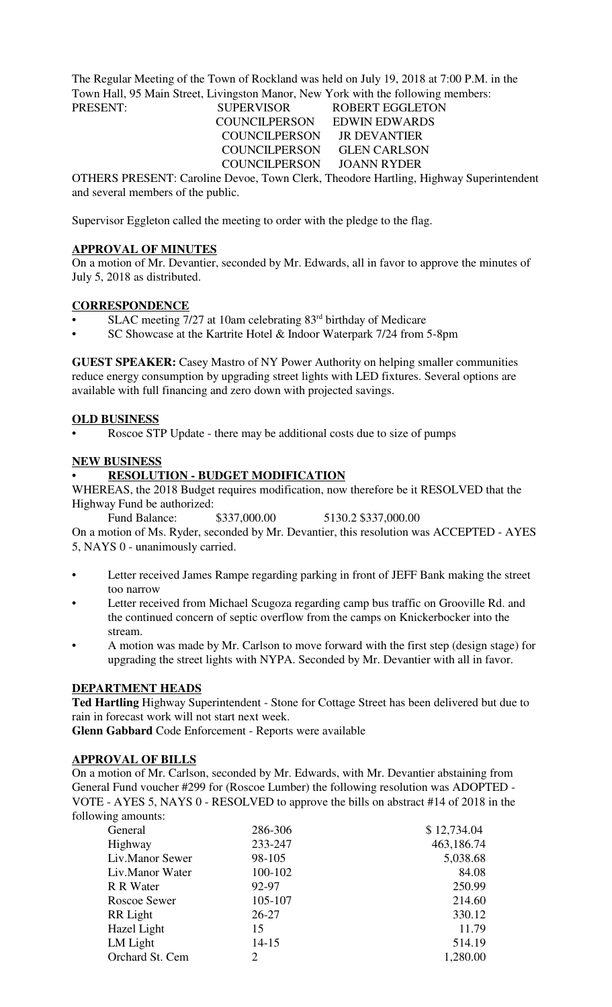The Regular Meeting of the Town of Rockland was held on July 19, 2018 at 7:00 P.M. in the Town Hall, 95 Main Street, Livingston Manor, New York with the following members:

 COUNCILPERSON EDWIN EDWARDS COUNCILPERSON JR DEVANTIER COUNCILPERSON GLEN CARLSON COUNCILPERSON JOANN RYDER

PRESENT: SUPERVISOR ROBERT EGGLETON

OTHERS PRESENT: Caroline Devoe, Town Clerk, Theodore Hartling, Highway Superintendent and several members of the public.

Supervisor Eggleton called the meeting to order with the pledge to the flag.

## **APPROVAL OF MINUTES**

On a motion of Mr. Devantier, seconded by Mr. Edwards, all in favor to approve the minutes of July 5, 2018 as distributed.

## **CORRESPONDENCE**

- SLAC meeting 7/27 at 10am celebrating 83<sup>rd</sup> birthday of Medicare
- SC Showcase at the Kartrite Hotel & Indoor Waterpark 7/24 from 5-8pm

**GUEST SPEAKER:** Casey Mastro of NY Power Authority on helping smaller communities reduce energy consumption by upgrading street lights with LED fixtures. Several options are available with full financing and zero down with projected savings.

#### **OLD BUSINESS**

• Roscoe STP Update - there may be additional costs due to size of pumps

## **NEW BUSINESS**

## • **RESOLUTION - BUDGET MODIFICATION**

WHEREAS, the 2018 Budget requires modification, now therefore be it RESOLVED that the Highway Fund be authorized:

Fund Balance: \$337,000.00 5130.2 \$337,000.00

On a motion of Ms. Ryder, seconded by Mr. Devantier, this resolution was ACCEPTED - AYES 5, NAYS 0 - unanimously carried.

- Letter received James Rampe regarding parking in front of JEFF Bank making the street too narrow
- Letter received from Michael Scugoza regarding camp bus traffic on Grooville Rd. and the continued concern of septic overflow from the camps on Knickerbocker into the stream.
- A motion was made by Mr. Carlson to move forward with the first step (design stage) for upgrading the street lights with NYPA. Seconded by Mr. Devantier with all in favor.

#### **DEPARTMENT HEADS**

**Ted Hartling** Highway Superintendent - Stone for Cottage Street has been delivered but due to rain in forecast work will not start next week.

**Glenn Gabbard** Code Enforcement - Reports were available

## **APPROVAL OF BILLS**

On a motion of Mr. Carlson, seconded by Mr. Edwards, with Mr. Devantier abstaining from General Fund voucher #299 for (Roscoe Lumber) the following resolution was ADOPTED - VOTE - AYES 5, NAYS 0 - RESOLVED to approve the bills on abstract #14 of 2018 in the following amounts:

| General         | 286-306   | \$12,734.04 |
|-----------------|-----------|-------------|
| Highway         | 233-247   | 463,186.74  |
| Liv.Manor Sewer | 98-105    | 5,038.68    |
| Liv.Manor Water | 100-102   | 84.08       |
| R R Water       | 92-97     | 250.99      |
| Roscoe Sewer    | 105-107   | 214.60      |
| RR Light        | $26 - 27$ | 330.12      |
| Hazel Light     | 15        | 11.79       |
| LM Light        | $14 - 15$ | 514.19      |
| Orchard St. Cem | 2         | 1,280.00    |
|                 |           |             |